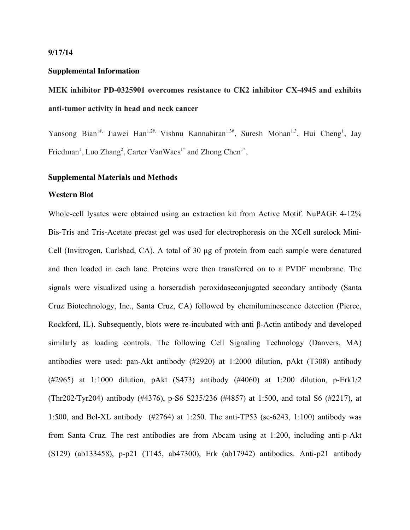#### **9/17/14**

#### **Supplemental Information**

# **MEK inhibitor PD-0325901 overcomes resistance to CK2 inhibitor CX-4945 and exhibits anti-tumor activity in head and neck cancer**

Yansong Bian<sup>1#,</sup> Jiawei Han<sup>1,2#,</sup> Vishnu Kannabiran<sup>1,3#</sup>, Suresh Mohan<sup>1,3</sup>, Hui Cheng<sup>1</sup>, Jay Friedman<sup>1</sup>, Luo Zhang<sup>2</sup>, Carter VanWaes<sup>1\*</sup> and Zhong Chen<sup>1\*</sup>,

# **Supplemental Materials and Methods**

### **Western Blot**

Whole-cell lysates were obtained using an extraction kit from Active Motif. NuPAGE 4-12% Bis-Tris and Tris-Acetate precast gel was used for electrophoresis on the XCell surelock Mini-Cell (Invitrogen, Carlsbad, CA). A total of 30 µg of protein from each sample were denatured and then loaded in each lane. Proteins were then transferred on to a PVDF membrane. The signals were visualized using a horseradish peroxidaseconjugated secondary antibody (Santa Cruz Biotechnology, Inc., Santa Cruz, CA) followed by ehemiluminescence detection (Pierce, Rockford, IL). Subsequently, blots were re-incubated with anti β-Actin antibody and developed similarly as loading controls. The following Cell Signaling Technology (Danvers, MA) antibodies were used: pan-Akt antibody (#2920) at 1:2000 dilution, pAkt (T308) antibody (#2965) at 1:1000 dilution, pAkt (S473) antibody (#4060) at 1:200 dilution, p-Erk1/2 (Thr202/Tyr204) antibody (#4376), p-S6 S235/236 (#4857) at 1:500, and total S6 (#2217), at 1:500, and Bcl-XL antibody (#2764) at 1:250. The anti-TP53 (sc-6243, 1:100) antibody was from Santa Cruz. The rest antibodies are from Abcam using at 1:200, including anti-p-Akt (S129) (ab133458), p-p21 (T145, ab47300), Erk (ab17942) antibodies. Anti-p21 antibody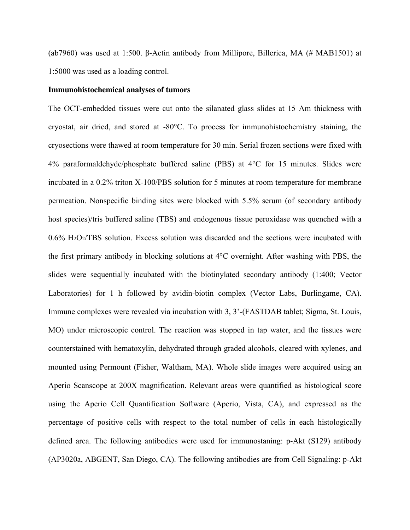(ab7960) was used at 1:500. β-Actin antibody from Millipore, Billerica, MA (# MAB1501) at 1:5000 was used as a loading control.

### **Immunohistochemical analyses of tumors**

The OCT-embedded tissues were cut onto the silanated glass slides at 15 Am thickness with cryostat, air dried, and stored at -80°C. To process for immunohistochemistry staining, the cryosections were thawed at room temperature for 30 min. Serial frozen sections were fixed with 4% paraformaldehyde/phosphate buffered saline (PBS) at 4°C for 15 minutes. Slides were incubated in a 0.2% triton X-100/PBS solution for 5 minutes at room temperature for membrane permeation. Nonspecific binding sites were blocked with 5.5% serum (of secondary antibody host species)/tris buffered saline (TBS) and endogenous tissue peroxidase was quenched with a 0.6% H2O2/TBS solution. Excess solution was discarded and the sections were incubated with the first primary antibody in blocking solutions at 4°C overnight. After washing with PBS, the slides were sequentially incubated with the biotinylated secondary antibody (1:400; Vector Laboratories) for 1 h followed by avidin-biotin complex (Vector Labs, Burlingame, CA). Immune complexes were revealed via incubation with 3, 3'-(FASTDAB tablet; Sigma, St. Louis, MO) under microscopic control. The reaction was stopped in tap water, and the tissues were counterstained with hematoxylin, dehydrated through graded alcohols, cleared with xylenes, and mounted using Permount (Fisher, Waltham, MA). Whole slide images were acquired using an Aperio Scanscope at 200X magnification. Relevant areas were quantified as histological score using the Aperio Cell Quantification Software (Aperio, Vista, CA), and expressed as the percentage of positive cells with respect to the total number of cells in each histologically defined area. The following antibodies were used for immunostaning: p-Akt (S129) antibody (AP3020a, ABGENT, San Diego, CA). The following antibodies are from Cell Signaling: p-Akt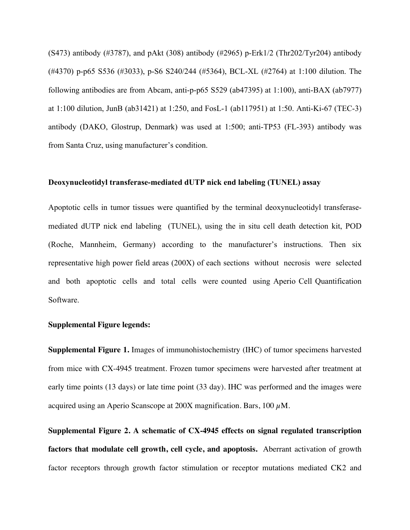$(S473)$  antibody (#3787), and pAkt (308) antibody (#2965) p-Erk1/2 (Thr202/Tyr204) antibody (#4370) p-p65 S536 (#3033), p-S6 S240/244 (#5364), BCL-XL (#2764) at 1:100 dilution. The following antibodies are from Abcam, anti-p-p65 S529 (ab47395) at 1:100), anti-BAX (ab7977) at 1:100 dilution, JunB (ab31421) at 1:250, and FosL-1 (ab117951) at 1:50. Anti-Ki-67 (TEC-3) antibody (DAKO, Glostrup, Denmark) was used at 1:500; anti-TP53 (FL-393) antibody was from Santa Cruz, using manufacturer's condition.

## **Deoxynucleotidyl transferase-mediated dUTP nick end labeling (TUNEL) assay**

Apoptotic cells in tumor tissues were quantified by the terminal deoxynucleotidyl transferasemediated dUTP nick end labeling (TUNEL), using the in situ cell death detection kit, POD (Roche, Mannheim, Germany) according to the manufacturer's instructions. Then six representative high power field areas (200X) of each sections without necrosis were selected and both apoptotic cells and total cells were counted using Aperio Cell Quantification Software.

# **Supplemental Figure legends:**

**Supplemental Figure 1.** Images of immunohistochemistry (IHC) of tumor specimens harvested from mice with CX-4945 treatment. Frozen tumor specimens were harvested after treatment at early time points (13 days) or late time point (33 day). IHC was performed and the images were acquired using an Aperio Scanscope at  $200X$  magnification. Bars,  $100 \mu M$ .

**Supplemental Figure 2. A schematic of CX-4945 effects on signal regulated transcription factors that modulate cell growth, cell cycle, and apoptosis.** Aberrant activation of growth factor receptors through growth factor stimulation or receptor mutations mediated CK2 and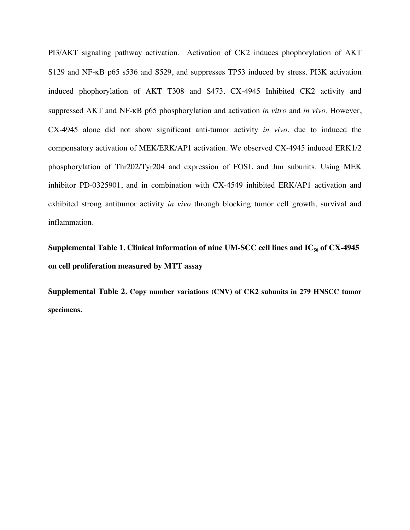PI3/AKT signaling pathway activation. Activation of CK2 induces phophorylation of AKT S129 and NF-κB p65 s536 and S529, and suppresses TP53 induced by stress. PI3K activation induced phophorylation of AKT T308 and S473. CX-4945 Inhibited CK2 activity and suppressed AKT and NF-κB p65 phosphorylation and activation *in vitro* and *in vivo*. However, CX-4945 alone did not show significant anti-tumor activity *in vivo*, due to induced the compensatory activation of MEK/ERK/AP1 activation. We observed CX-4945 induced ERK1/2 phosphorylation of Thr202/Tyr204 and expression of FOSL and Jun subunits. Using MEK inhibitor PD-0325901, and in combination with CX-4549 inhibited ERK/AP1 activation and exhibited strong antitumor activity *in vivo* through blocking tumor cell growth, survival and inflammation.

**Supplemental Table 1. Clinical information of nine UM-SCC cell lines and IC<sub>50</sub> of CX-4945 on cell proliferation measured by MTT assay**

**Supplemental Table 2. Copy number variations (CNV) of CK2 subunits in 279 HNSCC tumor specimens.**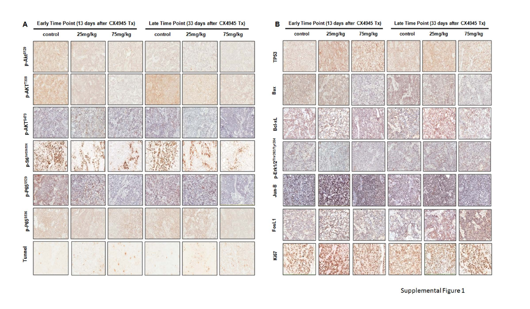| A                         |         | Early Time Point (13 days after CX4945 Tx) |         | Late Time Point (33 days after CX4945 Tx) | в       | Early   |                       |     |
|---------------------------|---------|--------------------------------------------|---------|-------------------------------------------|---------|---------|-----------------------|-----|
|                           | control | 25mg/kg                                    | 75mg/kg | control                                   | 25mg/kg | 75mg/kg |                       | con |
| p-Akt <sup>\$129</sup>    |         |                                            |         |                                           |         |         | <b>TP53</b>           |     |
| p-AKT <sup>1308</sup>     |         |                                            |         |                                           |         |         | Bax                   |     |
| p-AKT <sup>S473</sup>     |         |                                            |         |                                           |         |         | Bcl-xL                |     |
| p-S6 <sup>ser235236</sup> |         |                                            |         |                                           |         |         | p-Erk1/2Thr202/Tyr204 |     |
| p-P658529                 |         |                                            |         |                                           |         |         | $Jun-B$               |     |
| p-P658536                 |         |                                            |         |                                           |         |         | FosL1                 |     |
| Tunnel                    |         |                                            |         |                                           |         |         | Ki67                  |     |

| в                     |         | Early Time Point (13 days after CX4945 Tx) |         | Late Time Point (33 days after CX4945 Tx) |         |         |  |  |
|-----------------------|---------|--------------------------------------------|---------|-------------------------------------------|---------|---------|--|--|
|                       | control | 25mg/kg                                    | 75mg/kg | control                                   | 25mg/kg | 75mg/kg |  |  |
| <b>TP53</b>           |         |                                            |         |                                           |         |         |  |  |
| <b>Sax</b>            |         |                                            |         |                                           |         |         |  |  |
| Bcl-xL                |         |                                            |         |                                           |         |         |  |  |
| p-Erk1/2Thr202/Tyr204 |         |                                            |         |                                           |         |         |  |  |
| Jun-B                 |         |                                            |         |                                           |         |         |  |  |
| $1380 +$              |         |                                            |         |                                           |         |         |  |  |
| Ki67                  |         |                                            |         |                                           |         |         |  |  |

Supplemental Figure 1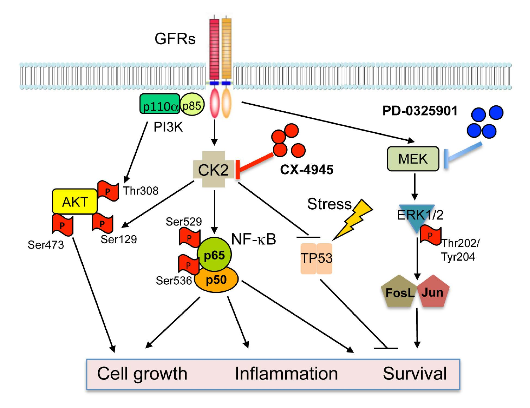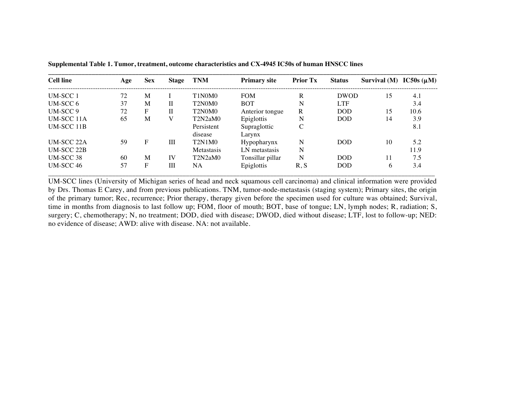| <b>Cell line</b>  | Age | <b>Sex</b> | Stage | <b>TNM</b>                                   | <b>Primary site</b>    | <b>Prior Tx</b> | <b>Status</b> | Survival (M) IC50s $(\mu M)$ |      |
|-------------------|-----|------------|-------|----------------------------------------------|------------------------|-----------------|---------------|------------------------------|------|
| <b>UM-SCC1</b>    | 72  | M          |       | T1N0M0                                       | <b>FOM</b>             | R               | <b>DWOD</b>   | 15                           | 4.1  |
| $UM-SCC6$         | 37  | M          | П     | T <sub>2</sub> N <sub>0</sub> M <sub>0</sub> | <b>BOT</b>             | N               | <b>LTF</b>    |                              | 3.4  |
| UM-SCC 9          | 72  | F          | П     | T <sub>2</sub> N <sub>0</sub> M <sub>0</sub> | Anterior tongue        | R               | <b>DOD</b>    | 15                           | 10.6 |
| <b>UM-SCC 11A</b> | 65  | M          | V     | T2N2aM0                                      | Epiglottis             | N               | DOD.          | 14                           | 3.9  |
| <b>UM-SCC 11B</b> |     |            |       | Persistent<br>disease                        | Supraglottic<br>Larynx | C               |               |                              | 8.1  |
| <b>UM-SCC 22A</b> | 59  | F          | Ш     | <b>T2N1M0</b>                                | Hypopharynx            | N               | <b>DOD</b>    | 10                           | 5.2  |
| <b>UM-SCC 22B</b> |     |            |       | Metastasis                                   | LN metastasis          | N               |               |                              | 11.9 |
| <b>UM-SCC 38</b>  | 60  | M          | IV    | T2N2aM0                                      | Tonsillar pillar       | N               | <b>DOD</b>    | 11                           | 7.5  |
| UM-SCC 46         | 57  | F          | Ш     | <b>NA</b>                                    | Epiglottis             | R, S            | <b>DOD</b>    | 6                            | 3.4  |

**Supplemental Table 1. Tumor, treatment, outcome characteristics and CX-4945 IC50s of human HNSCC lines**

UM-SCC lines (University of Michigan series of head and neck squamous cell carcinoma) and clinical information were provided by Drs. Thomas E Carey, and from previous publications. TNM, tumor-node-metastasis (staging system); Primary sites, the origin of the primary tumor; Rec, recurrence; Prior therapy, therapy given before the specimen used for culture was obtained; Survival, time in months from diagnosis to last follow up; FOM, floor of mouth; BOT, base of tongue; LN, lymph nodes; R, radiation; S, surgery; C, chemotherapy; N, no treatment; DOD, died with disease; DWOD, died without disease; LTF, lost to follow-up; NED: no evidence of disease; AWD: alive with disease. NA: not available.